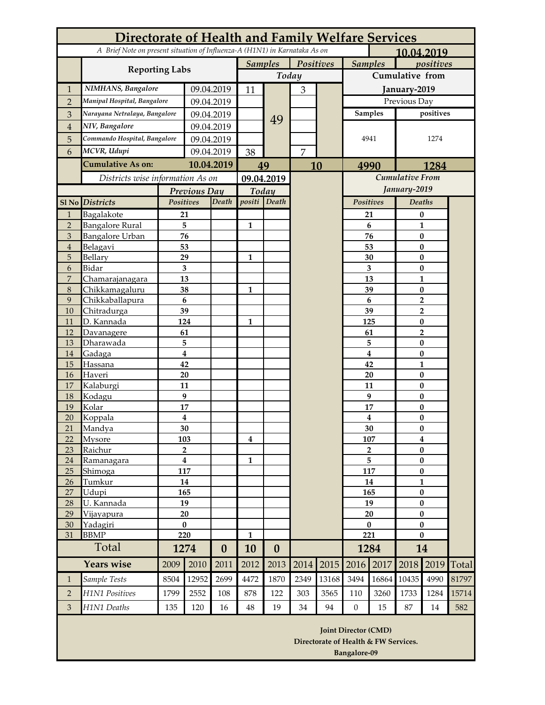|                     | Directorate of Health and Family Welfare Services |                               |                                                                                          |            |                             |                  |                |                             |                                        |                               |                                              |                          |            |  |
|---------------------|---------------------------------------------------|-------------------------------|------------------------------------------------------------------------------------------|------------|-----------------------------|------------------|----------------|-----------------------------|----------------------------------------|-------------------------------|----------------------------------------------|--------------------------|------------|--|
|                     |                                                   |                               | A Brief Note on present situation of Influenza-A (H1N1) in Karnataka As on<br>10,04.2019 |            |                             |                  |                |                             |                                        |                               |                                              |                          |            |  |
|                     | <b>Reporting Labs</b>                             |                               |                                                                                          |            | <b>Samples</b><br>Positives |                  |                | <b>Samples</b><br>positives |                                        |                               |                                              |                          |            |  |
|                     |                                                   |                               |                                                                                          |            | Today                       |                  |                |                             | Cumulative from                        |                               |                                              |                          |            |  |
| 1                   | NIMHANS, Bangalore                                |                               | 09.04.2019                                                                               |            | 11                          |                  | $\mathfrak{Z}$ |                             | January-2019                           |                               |                                              |                          |            |  |
| $\overline{2}$      | Manipal Hospital, Bangalore                       |                               | 09.04.2019                                                                               |            |                             |                  |                |                             | Previous Day                           |                               |                                              |                          |            |  |
| 3                   | .<br>Narayana Netralaya, Bangalore                |                               | 09.04.2019                                                                               |            |                             |                  |                |                             |                                        | <b>Samples</b>                |                                              | positives                |            |  |
| $\bf 4$             | NIV, Bangalore                                    |                               | 09.04.2019                                                                               |            |                             | 49               |                |                             |                                        |                               |                                              |                          |            |  |
| 5                   | Commando Hospital, Bangalore                      |                               |                                                                                          | 09.04.2019 |                             |                  |                |                             |                                        | 4941                          | 1274                                         |                          |            |  |
| 6                   | MCVR, Udupi                                       |                               |                                                                                          | 09.04.2019 | 38                          |                  | $\overline{7}$ |                             |                                        |                               |                                              |                          |            |  |
|                     | <b>Cumulative As on:</b>                          |                               |                                                                                          |            |                             |                  |                |                             |                                        |                               |                                              |                          |            |  |
|                     | Districts wise information As on                  |                               | 10.04.2019                                                                               |            | 49                          |                  |                | 10                          | 1284<br>4990<br><b>Cumulative From</b> |                               |                                              |                          |            |  |
|                     |                                                   |                               |                                                                                          |            | 09.04.2019                  |                  |                |                             | January-2019                           |                               |                                              |                          |            |  |
|                     |                                                   |                               | Previous Day                                                                             |            | Today<br>positi Death       |                  |                |                             | Positives                              |                               | <b>Deaths</b>                                |                          |            |  |
| $S1$ No             | <b>Districts</b>                                  | Positives                     |                                                                                          | Death      |                             |                  |                |                             |                                        |                               |                                              |                          |            |  |
| $\mathbf{1}$        | Bagalakote                                        | 21                            |                                                                                          |            |                             |                  |                |                             |                                        | 21                            |                                              | 0                        |            |  |
| $\overline{2}$<br>3 | <b>Bangalore Rural</b><br><b>Bangalore Urban</b>  | 5<br>76                       |                                                                                          |            | $\mathbf{1}$                |                  |                |                             |                                        | 6<br>76                       |                                              | $\mathbf{1}$             |            |  |
| $\overline{4}$      | Belagavi                                          | 53                            |                                                                                          |            |                             |                  |                |                             |                                        | 53                            | $\bf{0}$<br>$\bf{0}$<br>$\bf{0}$<br>$\bf{0}$ |                          |            |  |
| 5                   | Bellary                                           | 29                            |                                                                                          |            | $\mathbf{1}$                |                  |                |                             |                                        | 30                            |                                              |                          |            |  |
| 6                   | Bidar                                             | $\overline{\mathbf{3}}$       |                                                                                          |            |                             |                  |                |                             |                                        | $\overline{\mathbf{3}}$       |                                              |                          |            |  |
| $\overline{7}$      | Chamarajanagara                                   | 13                            |                                                                                          |            |                             |                  |                |                             |                                        | 13                            |                                              | $\mathbf{1}$             |            |  |
| 8                   | Chikkamagaluru                                    |                               | 38                                                                                       |            | $\mathbf{1}$                |                  |                |                             |                                        | 39                            | $\bf{0}$                                     |                          |            |  |
| 9                   | Chikkaballapura                                   | $6\phantom{1}6$               |                                                                                          |            |                             |                  |                |                             |                                        | $6\phantom{1}$                | $\overline{2}$                               |                          |            |  |
| 10                  | Chitradurga                                       | 39                            |                                                                                          |            |                             |                  |                |                             |                                        | 39                            | $\overline{2}$                               |                          |            |  |
| 11                  | D. Kannada                                        | 124                           |                                                                                          |            | $\mathbf{1}$                |                  |                |                             | 125                                    |                               |                                              | $\bf{0}$                 |            |  |
| 12                  | Davanagere                                        | 61                            |                                                                                          |            |                             |                  |                |                             | 61                                     |                               |                                              | $\overline{2}$           |            |  |
| 13                  | Dharawada                                         | 5                             |                                                                                          |            |                             |                  |                |                             |                                        | 5                             | $\bf{0}$                                     |                          |            |  |
| 14                  | Gadaga                                            | $\overline{\mathbf{4}}$<br>42 |                                                                                          |            |                             |                  |                |                             |                                        | $\overline{\mathbf{4}}$<br>42 |                                              | $\bf{0}$<br>$\mathbf{1}$ |            |  |
| 15<br>16            | Hassana<br>Haveri                                 | 20                            |                                                                                          |            |                             |                  |                |                             |                                        | 20                            | $\bf{0}$                                     |                          |            |  |
| 17                  | Kalaburgi                                         | 11                            |                                                                                          |            |                             |                  |                |                             |                                        | 11                            | $\bf{0}$                                     |                          |            |  |
| 18                  | Kodagu                                            | 9                             |                                                                                          |            |                             |                  |                |                             |                                        | 9                             |                                              | $\bf{0}$                 |            |  |
| 19                  | Kolar                                             | 17                            |                                                                                          |            |                             |                  |                |                             |                                        | 17                            | $\bf{0}$                                     |                          |            |  |
| 20                  | Koppala                                           | $\overline{\mathbf{4}}$       |                                                                                          |            |                             |                  |                |                             |                                        | 4                             |                                              | $\pmb{0}$                |            |  |
| 21                  | Mandya                                            | 30                            |                                                                                          |            |                             |                  |                |                             | 30                                     |                               | $\boldsymbol{0}$                             |                          |            |  |
| 22                  | Mysore                                            | 103                           |                                                                                          |            | 4                           |                  |                |                             | 107                                    |                               | $\overline{\mathbf{4}}$                      |                          |            |  |
| 23                  | Raichur                                           | $\overline{2}$                |                                                                                          |            |                             |                  |                |                             | $\overline{2}$                         |                               | $\bf{0}$                                     |                          |            |  |
| 24                  | <u>Ramanagara</u>                                 | $\overline{\mathbf{4}}$       |                                                                                          |            | $\mathbf{1}$                |                  |                |                             | 5                                      |                               | $\pmb{0}$                                    |                          |            |  |
| 25                  | Shimoga                                           | 117<br>14                     |                                                                                          |            |                             |                  |                |                             | 117<br>14                              |                               | $\pmb{0}$<br>$\mathbf{1}$                    |                          |            |  |
| 26<br>27            | Tumkur<br>Udupi                                   | 165                           |                                                                                          |            |                             |                  |                |                             | 165                                    |                               | $\bf{0}$                                     |                          |            |  |
| 28                  | U. Kannada                                        | 19                            |                                                                                          |            |                             |                  |                |                             |                                        | 19                            |                                              | $\pmb{0}$                |            |  |
| 29                  | Vijayapura                                        | 20                            |                                                                                          |            |                             |                  |                |                             | 20                                     |                               | $\bf{0}$                                     |                          |            |  |
| 30                  | Yadagiri                                          | $\pmb{0}$                     |                                                                                          |            |                             |                  |                |                             | $\bf{0}$                               |                               | $\pmb{0}$                                    |                          |            |  |
| 31                  | <b>BBMP</b>                                       | 220                           |                                                                                          |            | $\mathbf{1}$                |                  |                |                             | 221                                    |                               | $\bf{0}$                                     |                          |            |  |
| Total               |                                                   | 1274                          |                                                                                          | $\bf{0}$   | 10                          | $\boldsymbol{0}$ |                |                             |                                        | 1284                          |                                              | 14                       |            |  |
|                     | Years wise                                        | 2009                          | 2010                                                                                     | 2011       | 2012                        | 2013             | 2014           | 2015                        | 2016                                   | 2017                          | 2018                                         |                          | 2019 Total |  |
| $\mathbf{1}$        | Sample Tests                                      | 8504                          | 12952                                                                                    | 2699       | 4472                        | 1870             | 2349           | 13168                       | 3494                                   | 16864                         | 10435                                        | 4990                     | 81797      |  |
| $\overline{2}$      | H1N1 Positives                                    | 1799                          | 2552                                                                                     | 108        | 878                         | 122              | 303            | 3565                        | 110                                    | 3260                          | 1733                                         | 1284                     | 15714      |  |
| 3                   | H1N1 Deaths                                       | 135                           | 120                                                                                      | 16         | 48                          | 19               | 34             | 94                          | $\boldsymbol{0}$                       | 15                            | 87                                           | 14                       | 582        |  |
|                     |                                                   |                               |                                                                                          |            |                             |                  |                |                             | <b>Joint Director (CMD)</b>            |                               |                                              |                          |            |  |

**Directorate of Health & FW Services. Bangalore-09**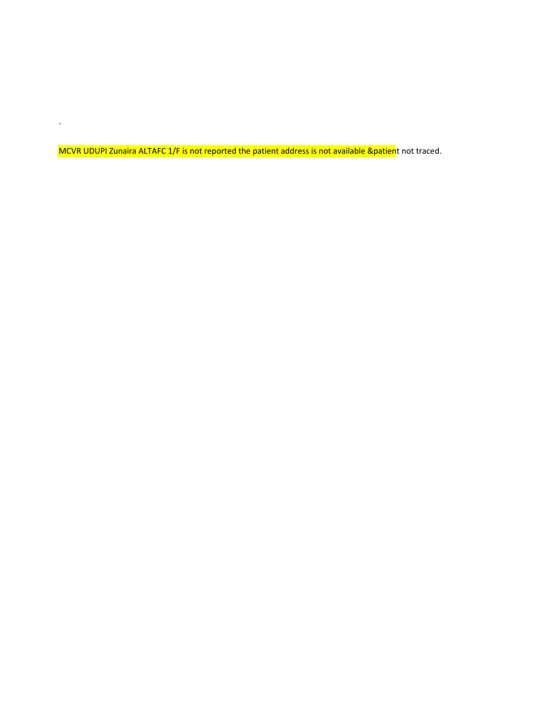MCVR UDUPI Zunaira ALTAFC 1/F is not reported the patient address is not available &patient not traced.

 $\sqrt{2}$